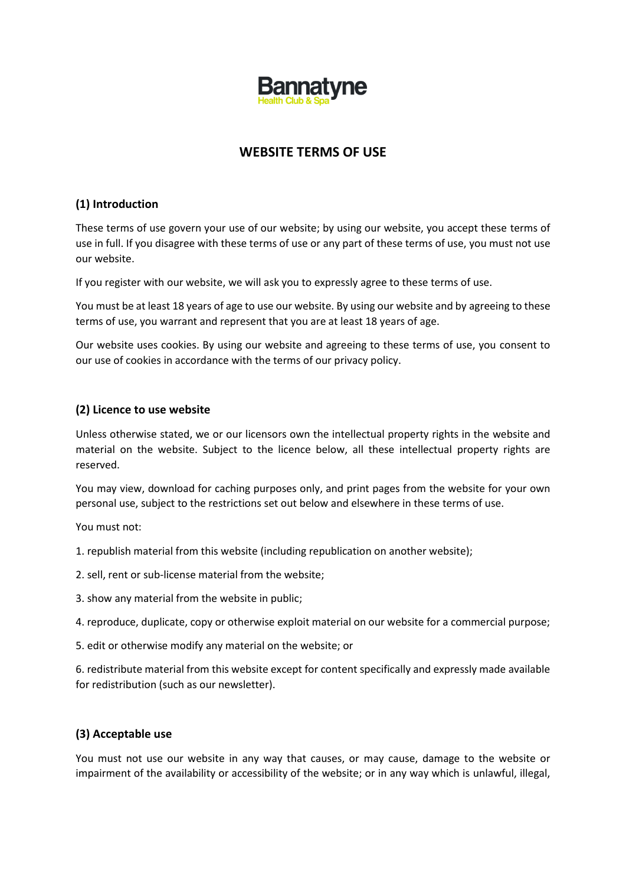

# **WEBSITE TERMS OF USE**

## **(1) Introduction**

These terms of use govern your use of our website; by using our website, you accept these terms of use in full. If you disagree with these terms of use or any part of these terms of use, you must not use our website.

If you register with our website, we will ask you to expressly agree to these terms of use.

You must be at least 18 years of age to use our website. By using our website and by agreeing to these terms of use, you warrant and represent that you are at least 18 years of age.

Our website uses cookies. By using our website and agreeing to these terms of use, you consent to our use of cookies in accordance with the terms of our privacy policy.

#### **(2) Licence to use website**

Unless otherwise stated, we or our licensors own the intellectual property rights in the website and material on the website. Subject to the licence below, all these intellectual property rights are reserved.

You may view, download for caching purposes only, and print pages from the website for your own personal use, subject to the restrictions set out below and elsewhere in these terms of use.

You must not:

- 1. republish material from this website (including republication on another website);
- 2. sell, rent or sub-license material from the website;
- 3. show any material from the website in public;
- 4. reproduce, duplicate, copy or otherwise exploit material on our website for a commercial purpose;
- 5. edit or otherwise modify any material on the website; or

6. redistribute material from this website except for content specifically and expressly made available for redistribution (such as our newsletter).

#### **(3) Acceptable use**

You must not use our website in any way that causes, or may cause, damage to the website or impairment of the availability or accessibility of the website; or in any way which is unlawful, illegal,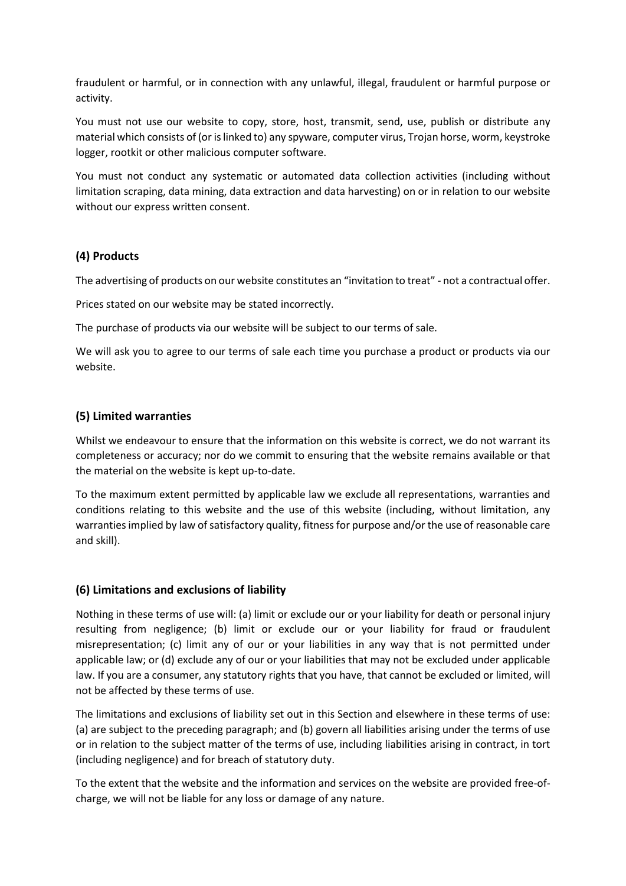fraudulent or harmful, or in connection with any unlawful, illegal, fraudulent or harmful purpose or activity.

You must not use our website to copy, store, host, transmit, send, use, publish or distribute any material which consists of (or is linked to) any spyware, computer virus, Trojan horse, worm, keystroke logger, rootkit or other malicious computer software.

You must not conduct any systematic or automated data collection activities (including without limitation scraping, data mining, data extraction and data harvesting) on or in relation to our website without our express written consent.

# **(4) Products**

The advertising of products on our website constitutes an "invitation to treat" - not a contractual offer.

Prices stated on our website may be stated incorrectly.

The purchase of products via our website will be subject to our terms of sale.

We will ask you to agree to our terms of sale each time you purchase a product or products via our website.

## **(5) Limited warranties**

Whilst we endeavour to ensure that the information on this website is correct, we do not warrant its completeness or accuracy; nor do we commit to ensuring that the website remains available or that the material on the website is kept up-to-date.

To the maximum extent permitted by applicable law we exclude all representations, warranties and conditions relating to this website and the use of this website (including, without limitation, any warranties implied by law of satisfactory quality, fitness for purpose and/or the use of reasonable care and skill).

# **(6) Limitations and exclusions of liability**

Nothing in these terms of use will: (a) limit or exclude our or your liability for death or personal injury resulting from negligence; (b) limit or exclude our or your liability for fraud or fraudulent misrepresentation; (c) limit any of our or your liabilities in any way that is not permitted under applicable law; or (d) exclude any of our or your liabilities that may not be excluded under applicable law. If you are a consumer, any statutory rights that you have, that cannot be excluded or limited, will not be affected by these terms of use.

The limitations and exclusions of liability set out in this Section and elsewhere in these terms of use: (a) are subject to the preceding paragraph; and (b) govern all liabilities arising under the terms of use or in relation to the subject matter of the terms of use, including liabilities arising in contract, in tort (including negligence) and for breach of statutory duty.

To the extent that the website and the information and services on the website are provided free-ofcharge, we will not be liable for any loss or damage of any nature.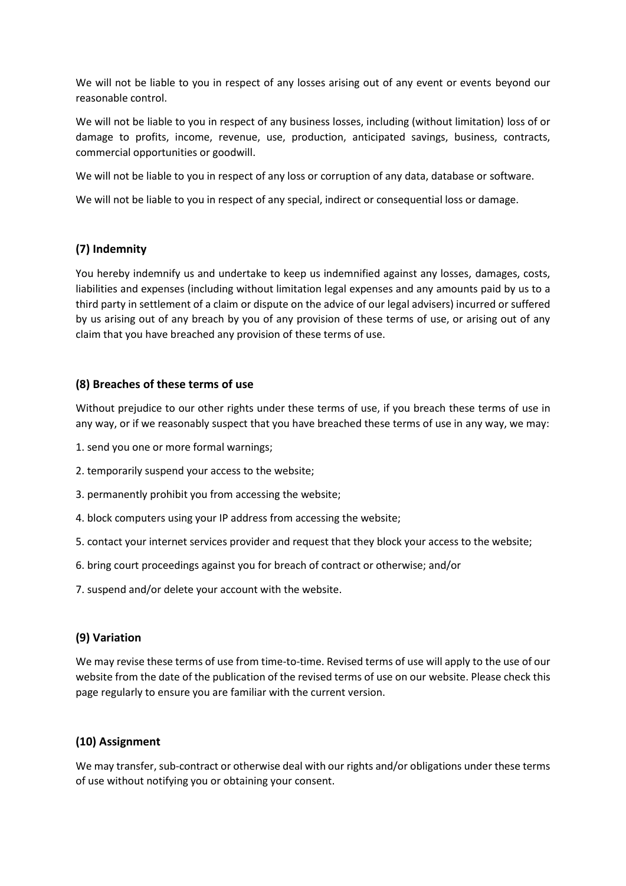We will not be liable to you in respect of any losses arising out of any event or events beyond our reasonable control.

We will not be liable to you in respect of any business losses, including (without limitation) loss of or damage to profits, income, revenue, use, production, anticipated savings, business, contracts, commercial opportunities or goodwill.

We will not be liable to you in respect of any loss or corruption of any data, database or software.

We will not be liable to you in respect of any special, indirect or consequential loss or damage.

## **(7) Indemnity**

You hereby indemnify us and undertake to keep us indemnified against any losses, damages, costs, liabilities and expenses (including without limitation legal expenses and any amounts paid by us to a third party in settlement of a claim or dispute on the advice of our legal advisers) incurred or suffered by us arising out of any breach by you of any provision of these terms of use, or arising out of any claim that you have breached any provision of these terms of use.

## **(8) Breaches of these terms of use**

Without prejudice to our other rights under these terms of use, if you breach these terms of use in any way, or if we reasonably suspect that you have breached these terms of use in any way, we may:

- 1. send you one or more formal warnings;
- 2. temporarily suspend your access to the website;
- 3. permanently prohibit you from accessing the website;
- 4. block computers using your IP address from accessing the website;
- 5. contact your internet services provider and request that they block your access to the website;
- 6. bring court proceedings against you for breach of contract or otherwise; and/or
- 7. suspend and/or delete your account with the website.

#### **(9) Variation**

We may revise these terms of use from time-to-time. Revised terms of use will apply to the use of our website from the date of the publication of the revised terms of use on our website. Please check this page regularly to ensure you are familiar with the current version.

# **(10) Assignment**

We may transfer, sub-contract or otherwise deal with our rights and/or obligations under these terms of use without notifying you or obtaining your consent.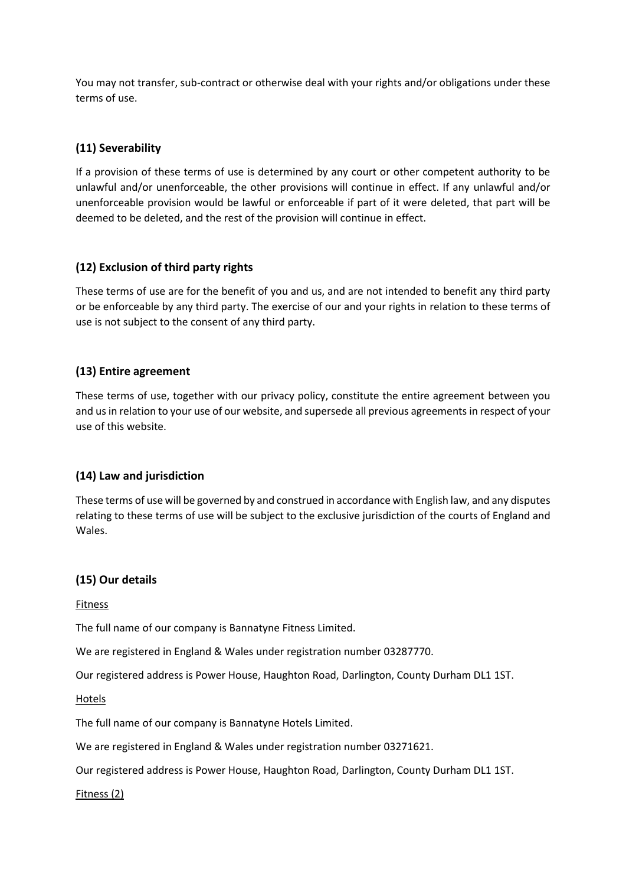You may not transfer, sub-contract or otherwise deal with your rights and/or obligations under these terms of use.

# **(11) Severability**

If a provision of these terms of use is determined by any court or other competent authority to be unlawful and/or unenforceable, the other provisions will continue in effect. If any unlawful and/or unenforceable provision would be lawful or enforceable if part of it were deleted, that part will be deemed to be deleted, and the rest of the provision will continue in effect.

## **(12) Exclusion of third party rights**

These terms of use are for the benefit of you and us, and are not intended to benefit any third party or be enforceable by any third party. The exercise of our and your rights in relation to these terms of use is not subject to the consent of any third party.

## **(13) Entire agreement**

These terms of use, together with our privacy policy, constitute the entire agreement between you and us in relation to your use of our website, and supersede all previous agreements in respect of your use of this website.

# **(14) Law and jurisdiction**

These terms of use will be governed by and construed in accordance with English law, and any disputes relating to these terms of use will be subject to the exclusive jurisdiction of the courts of England and Wales.

#### **(15) Our details**

Fitness

The full name of our company is Bannatyne Fitness Limited.

We are registered in England & Wales under registration number 03287770.

Our registered address is Power House, Haughton Road, Darlington, County Durham DL1 1ST.

Hotels

The full name of our company is Bannatyne Hotels Limited.

We are registered in England & Wales under registration number 03271621.

Our registered address is Power House, Haughton Road, Darlington, County Durham DL1 1ST.

Fitness (2)